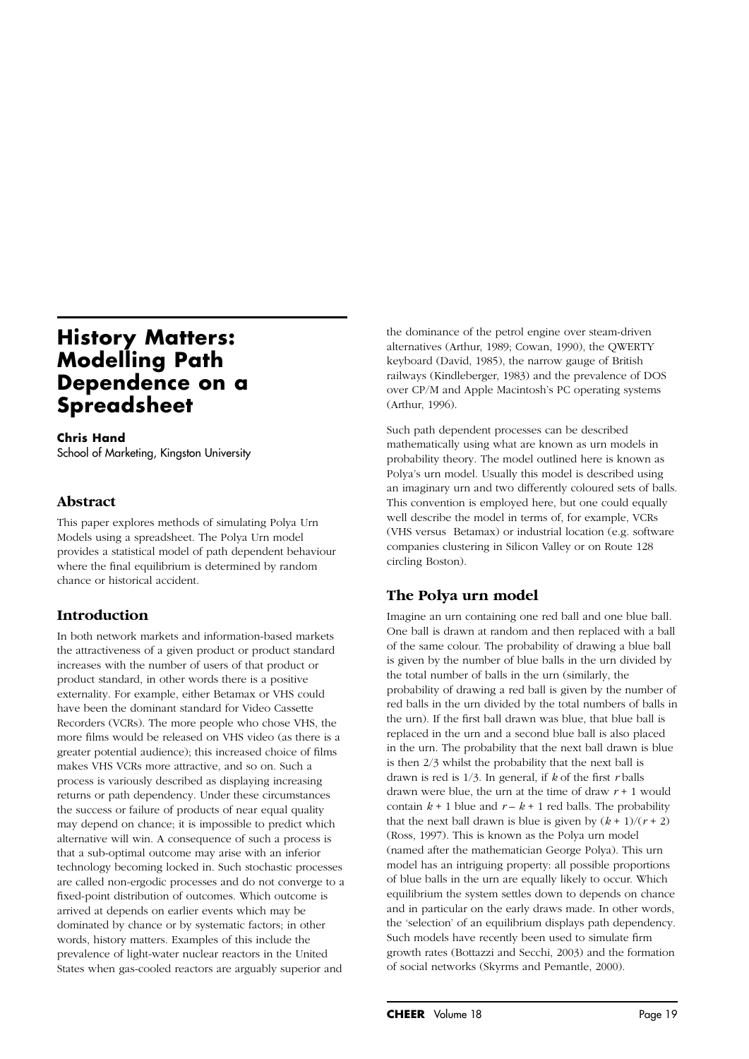# **History Matters: Modelling Path Dependence on a Spreadsheet**

**Chris Hand** School of Marketing, Kingston University

## **Abstract**

This paper explores methods of simulating Polya Urn Models using a spreadsheet. The Polya Urn model provides a statistical model of path dependent behaviour where the final equilibrium is determined by random chance or historical accident.

# **Introduction**

In both network markets and information-based markets the attractiveness of a given product or product standard increases with the number of users of that product or product standard, in other words there is a positive externality. For example, either Betamax or VHS could have been the dominant standard for Video Cassette Recorders (VCRs). The more people who chose VHS, the more films would be released on VHS video (as there is a greater potential audience); this increased choice of films makes VHS VCRs more attractive, and so on. Such a process is variously described as displaying increasing returns or path dependency. Under these circumstances the success or failure of products of near equal quality may depend on chance; it is impossible to predict which alternative will win. A consequence of such a process is that a sub-optimal outcome may arise with an inferior technology becoming locked in. Such stochastic processes are called non-ergodic processes and do not converge to a fixed-point distribution of outcomes. Which outcome is arrived at depends on earlier events which may be dominated by chance or by systematic factors; in other words, history matters. Examples of this include the prevalence of light-water nuclear reactors in the United States when gas-cooled reactors are arguably superior and

the dominance of the petrol engine over steam-driven alternatives (Arthur, 1989; Cowan, 1990), the QWERTY keyboard (David, 1985), the narrow gauge of British railways (Kindleberger, 1983) and the prevalence of DOS over CP/M and Apple Macintosh's PC operating systems (Arthur, 1996).

Such path dependent processes can be described mathematically using what are known as urn models in probability theory. The model outlined here is known as Polya's urn model. Usually this model is described using an imaginary urn and two differently coloured sets of balls. This convention is employed here, but one could equally well describe the model in terms of, for example, VCRs (VHS versus Betamax) or industrial location (e.g. software companies clustering in Silicon Valley or on Route 128 circling Boston).

# **The Polya urn model**

Imagine an urn containing one red ball and one blue ball. One ball is drawn at random and then replaced with a ball of the same colour. The probability of drawing a blue ball is given by the number of blue balls in the urn divided by the total number of balls in the urn (similarly, the probability of drawing a red ball is given by the number of red balls in the urn divided by the total numbers of balls in the urn). If the first ball drawn was blue, that blue ball is replaced in the urn and a second blue ball is also placed in the urn. The probability that the next ball drawn is blue is then 2/3 whilst the probability that the next ball is drawn is red is 1/3. In general, if *k* of the first *r* balls drawn were blue, the urn at the time of draw *r* + 1 would contain  $k + 1$  blue and  $r - k + 1$  red balls. The probability that the next ball drawn is blue is given by  $(k + 1)/(r + 2)$ (Ross, 1997). This is known as the Polya urn model (named after the mathematician George Polya). This urn model has an intriguing property: all possible proportions of blue balls in the urn are equally likely to occur. Which equilibrium the system settles down to depends on chance and in particular on the early draws made. In other words, the 'selection' of an equilibrium displays path dependency. Such models have recently been used to simulate firm growth rates (Bottazzi and Secchi, 2003) and the formation of social networks (Skyrms and Pemantle, 2000).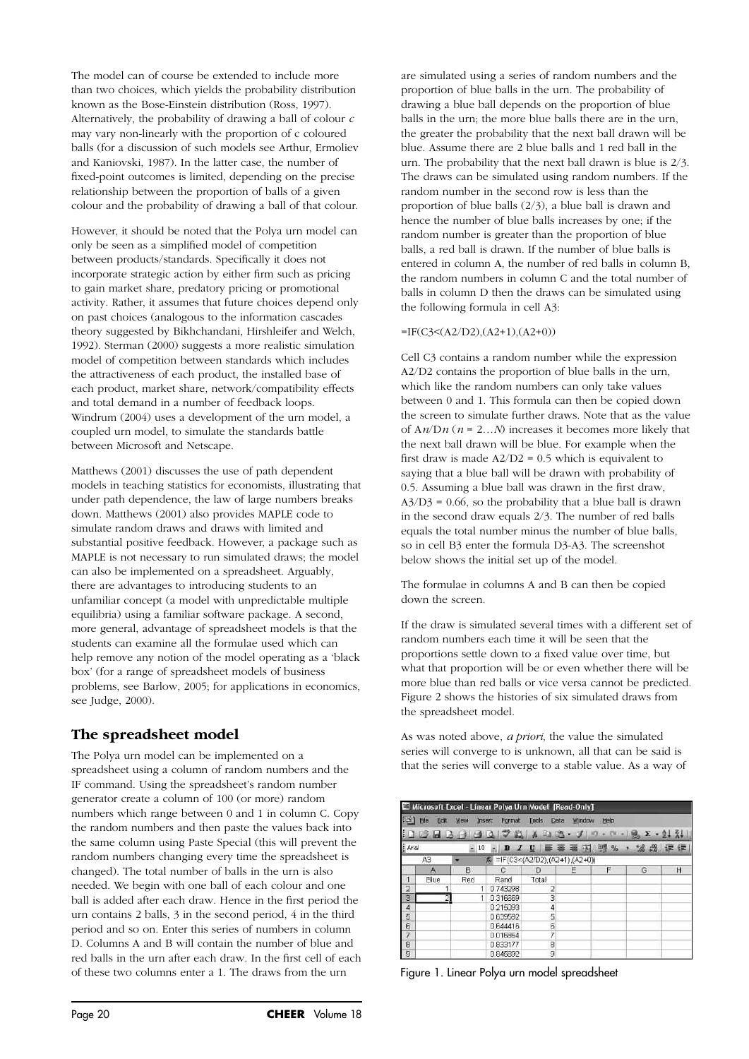The model can of course be extended to include more than two choices, which yields the probability distribution known as the Bose-Einstein distribution (Ross, 1997). Alternatively, the probability of drawing a ball of colour *c* may vary non-linearly with the proportion of c coloured balls (for a discussion of such models see Arthur, Ermoliev and Kaniovski, 1987). In the latter case, the number of fixed-point outcomes is limited, depending on the precise relationship between the proportion of balls of a given colour and the probability of drawing a ball of that colour.

However, it should be noted that the Polya urn model can only be seen as a simplified model of competition between products/standards. Specifically it does not incorporate strategic action by either firm such as pricing to gain market share, predatory pricing or promotional activity. Rather, it assumes that future choices depend only on past choices (analogous to the information cascades theory suggested by Bikhchandani, Hirshleifer and Welch, 1992). Sterman (2000) suggests a more realistic simulation model of competition between standards which includes the attractiveness of each product, the installed base of each product, market share, network/compatibility effects and total demand in a number of feedback loops. Windrum (2004) uses a development of the urn model, a coupled urn model, to simulate the standards battle between Microsoft and Netscape.

Matthews (2001) discusses the use of path dependent models in teaching statistics for economists, illustrating that under path dependence, the law of large numbers breaks down. Matthews (2001) also provides MAPLE code to simulate random draws and draws with limited and substantial positive feedback. However, a package such as MAPLE is not necessary to run simulated draws; the model can also be implemented on a spreadsheet. Arguably, there are advantages to introducing students to an unfamiliar concept (a model with unpredictable multiple equilibria) using a familiar software package. A second, more general, advantage of spreadsheet models is that the students can examine all the formulae used which can help remove any notion of the model operating as a 'black box' (for a range of spreadsheet models of business problems, see Barlow, 2005; for applications in economics, see Judge, 2000).

## **The spreadsheet model**

The Polya urn model can be implemented on a spreadsheet using a column of random numbers and the IF command. Using the spreadsheet's random number generator create a column of 100 (or more) random numbers which range between 0 and 1 in column C. Copy the random numbers and then paste the values back into the same column using Paste Special (this will prevent the random numbers changing every time the spreadsheet is changed). The total number of balls in the urn is also needed. We begin with one ball of each colour and one ball is added after each draw. Hence in the first period the urn contains 2 balls, 3 in the second period, 4 in the third period and so on. Enter this series of numbers in column D. Columns A and B will contain the number of blue and red balls in the urn after each draw. In the first cell of each of these two columns enter a 1. The draws from the urn

are simulated using a series of random numbers and the proportion of blue balls in the urn. The probability of drawing a blue ball depends on the proportion of blue balls in the urn; the more blue balls there are in the urn, the greater the probability that the next ball drawn will be blue. Assume there are 2 blue balls and 1 red ball in the urn. The probability that the next ball drawn is blue is 2/3. The draws can be simulated using random numbers. If the random number in the second row is less than the proportion of blue balls (2/3), a blue ball is drawn and hence the number of blue balls increases by one; if the random number is greater than the proportion of blue balls, a red ball is drawn. If the number of blue balls is entered in column A, the number of red balls in column B, the random numbers in column C and the total number of balls in column D then the draws can be simulated using the following formula in cell A3:

#### $=IF(C3<(A2/D2),(A2+1),(A2+0))$

Cell C3 contains a random number while the expression A2/D2 contains the proportion of blue balls in the urn, which like the random numbers can only take values between 0 and 1. This formula can then be copied down the screen to simulate further draws. Note that as the value of A*n*/D*n* (*n* = 2…*N*) increases it becomes more likely that the next ball drawn will be blue. For example when the first draw is made  $A2/D2 = 0.5$  which is equivalent to saying that a blue ball will be drawn with probability of 0.5. Assuming a blue ball was drawn in the first draw,  $A3/D3 = 0.66$ , so the probability that a blue ball is drawn in the second draw equals 2/3. The number of red balls equals the total number minus the number of blue balls, so in cell B3 enter the formula D3-A3. The screenshot below shows the initial set up of the model.

The formulae in columns A and B can then be copied down the screen.

If the draw is simulated several times with a different set of random numbers each time it will be seen that the proportions settle down to a fixed value over time, but what that proportion will be or even whether there will be more blue than red balls or vice versa cannot be predicted. Figure 2 shows the histories of six simulated draws from the spreadsheet model.

As was noted above, *a priori*, the value the simulated series will converge to is unknown, all that can be said is that the series will converge to a stable value. As a way of

|                         |             |                | E Microsoft Excel - Linear Polya Urn Model [Read-Only] |               |        |            |                    |         |
|-------------------------|-------------|----------------|--------------------------------------------------------|---------------|--------|------------|--------------------|---------|
| 理由                      | Ele<br>Edit | Insert<br>View | Format                                                 | Tools<br>Data | Window | Help       |                    |         |
|                         |             |                | $1.5 - 3.3 - 1.7$                                      | $X - 1 - 1$   |        |            |                    |         |
| <b>Arial</b>            |             | $= 10$         | $\mathbf{B}$                                           | 斷 臺<br>2U     | 疆      | $-31$ 22 % | $^{+0.20}_{-0.20}$ | 後置<br>鑩 |
|                         | A3          |                | # = F(C3<(A2/D2),(A2+1),(A2+0))                        |               |        |            |                    |         |
|                         | А           | B              | c                                                      | Ð             | Ε      | F          | G                  | H       |
| 1                       | Elue        | Red            | Rand                                                   | Total         |        |            |                    |         |
| 2                       |             | 1.             | 0.743298                                               | 2             |        |            |                    |         |
| 3                       | 2           |                | 0.316669                                               | 3             |        |            |                    |         |
| $\overline{\mathbf{4}}$ |             |                | 0.215093                                               | 4             |        |            |                    |         |
| 5                       |             |                | 0.639592                                               | 5             |        |            |                    |         |
| 6                       |             |                | 0.644416                                               | 6             |        |            |                    |         |
| 7                       |             |                | 0.016864                                               | 7             |        |            |                    |         |
| 8                       |             |                | 0.833177                                               | 8             |        |            |                    |         |
| 9                       |             |                | 0.845892                                               | 9             |        |            |                    |         |

Figure 1. Linear Polya urn model spreadsheet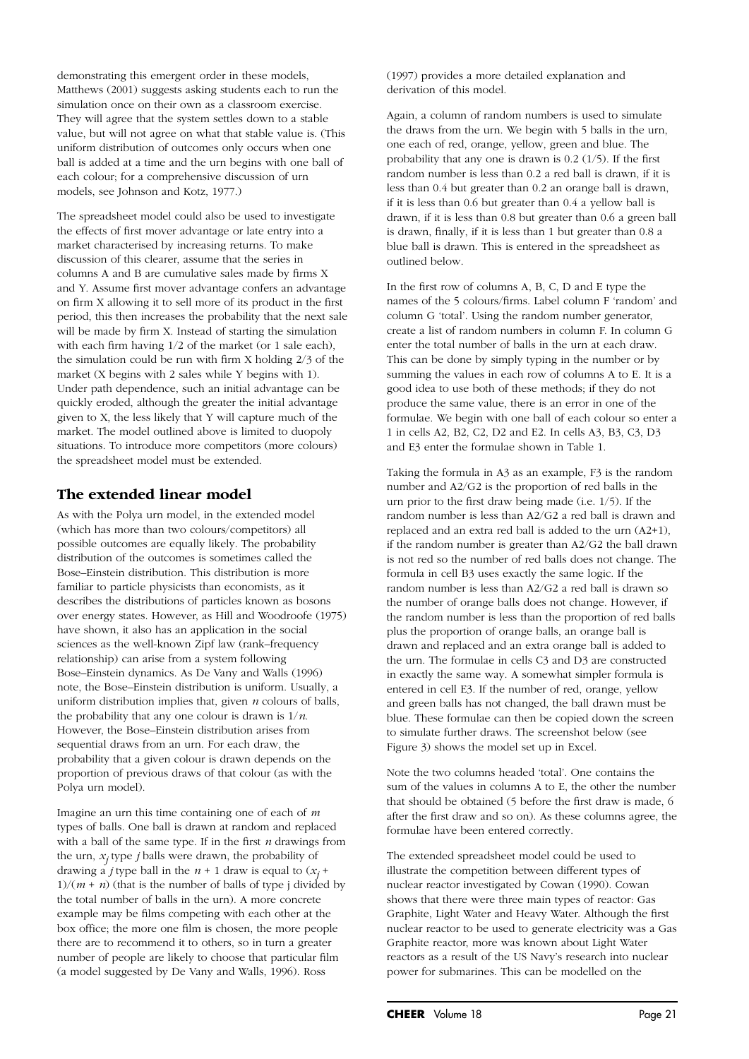models, see Johnson and Kotz, 1977.) each colour: for a comprehensive discussion of urn ball is added at a time and the urn begins with one ball of uniform distribution of outcomes only occurs when one 0.5 value, but will not agree on what that stable value is. (This They will agree that the system settles down to a stable  $\ddot{\phantom{0}}$ simulation once on their own as a classroom exercise. Matthews (2001) suggests asking students each to run the ra<br>II demonstrating this emergent order in these models,

The spreadsheet model could also be used to investigate the effects of first mover advantage or late entry into a market characterised by increasing returns. To make discussion of this clearer, assume that the series in columns A and B are cumulative sales made by firms X and Y. Assume first mover advantage confers an advantage on firm X allowing it to sell more of its product in the first period, this then increases the probability that the next sale will be made by firm X. Instead of starting the simulation with each firm having 1/2 of the market (or 1 sale each), the simulation could be run with firm X holding 2/3 of the market (X begins with 2 sales while Y begins with 1). Under path dependence, such an initial advantage can be quickly eroded, although the greater the initial advantage given to X, the less likely that Y will capture much of the market. The model outlined above is limited to duopoly situations. To introduce more competitors (more colours) the spreadsheet model must be extended.

## **The extended linear model**

As with the Polya urn model, in the extended model (which has more than two colours/competitors) all possible outcomes are equally likely. The probability distribution of the outcomes is sometimes called the Bose–Einstein distribution. This distribution is more familiar to particle physicists than economists, as it describes the distributions of particles known as bosons over energy states. However, as Hill and Woodroofe (1975) have shown, it also has an application in the social sciences as the well-known Zipf law (rank–frequency relationship) can arise from a system following Bose–Einstein dynamics. As De Vany and Walls (1996) note, the Bose–Einstein distribution is uniform. Usually, a uniform distribution implies that, given *n* colours of balls, the probability that any one colour is drawn is 1/*n*. However, the Bose–Einstein distribution arises from sequential draws from an urn. For each draw, the probability that a given colour is drawn depends on the proportion of previous draws of that colour (as with the Polya urn model).

Imagine an urn this time containing one of each of *m* types of balls. One ball is drawn at random and replaced with a ball of the same type. If in the first *n* drawings from the urn,  $x_i$  type *j* balls were drawn, the probability of drawing a *j* type ball in the  $n + 1$  draw is equal to  $(x_j +$  $1/(m + n)$  (that is the number of balls of type j divided by the total number of balls in the urn). A more concrete example may be films competing with each other at the box office; the more one film is chosen, the more people there are to recommend it to others, so in turn a greater number of people are likely to choose that particular film (a model suggested by De Vany and Walls, 1996). Ross

(1997) provides a more detailed explanation and derivation of this model.

Again, a column of random numbers is used to simulate the draws from the urn. We begin with 5 balls in the urn, one each of red, orange, yellow, green and blue. The probability that any one is drawn is 0.2 (1/5). If the first random number is less than 0.2 a red ball is drawn, if it is less than 0.4 but greater than 0.2 an orange ball is drawn, if it is less than 0.6 but greater than 0.4 a yellow ball is drawn, if it is less than 0.8 but greater than 0.6 a green ball is drawn, finally, if it is less than 1 but greater than 0.8 a blue ball is drawn. This is entered in the spreadsheet as outlined below.

In the first row of columns A, B, C, D and E type the names of the 5 colours/firms. Label column F 'random' and column G 'total'. Using the random number generator, create a list of random numbers in column F. In column G enter the total number of balls in the urn at each draw. This can be done by simply typing in the number or by summing the values in each row of columns A to E. It is a good idea to use both of these methods; if they do not produce the same value, there is an error in one of the formulae. We begin with one ball of each colour so enter a 1 in cells A2, B2, C2, D2 and E2. In cells A3, B3, C3, D3 and E3 enter the formulae shown in Table 1.

Taking the formula in A3 as an example, F3 is the random number and A2/G2 is the proportion of red balls in the urn prior to the first draw being made (i.e. 1/5). If the random number is less than A2/G2 a red ball is drawn and replaced and an extra red ball is added to the urn (A2+1), if the random number is greater than A2/G2 the ball drawn is not red so the number of red balls does not change. The formula in cell B3 uses exactly the same logic. If the random number is less than A2/G2 a red ball is drawn so the number of orange balls does not change. However, if the random number is less than the proportion of red balls plus the proportion of orange balls, an orange ball is drawn and replaced and an extra orange ball is added to the urn. The formulae in cells C3 and D3 are constructed in exactly the same way. A somewhat simpler formula is entered in cell E3. If the number of red, orange, yellow and green balls has not changed, the ball drawn must be blue. These formulae can then be copied down the screen to simulate further draws. The screenshot below (see Figure 3) shows the model set up in Excel.

Note the two columns headed 'total'. One contains the sum of the values in columns A to E, the other the number that should be obtained (5 before the first draw is made, 6 after the first draw and so on). As these columns agree, the formulae have been entered correctly.

The extended spreadsheet model could be used to illustrate the competition between different types of nuclear reactor investigated by Cowan (1990). Cowan shows that there were three main types of reactor: Gas Graphite, Light Water and Heavy Water. Although the first nuclear reactor to be used to generate electricity was a Gas Graphite reactor, more was known about Light Water reactors as a result of the US Navy's research into nuclear power for submarines. This can be modelled on the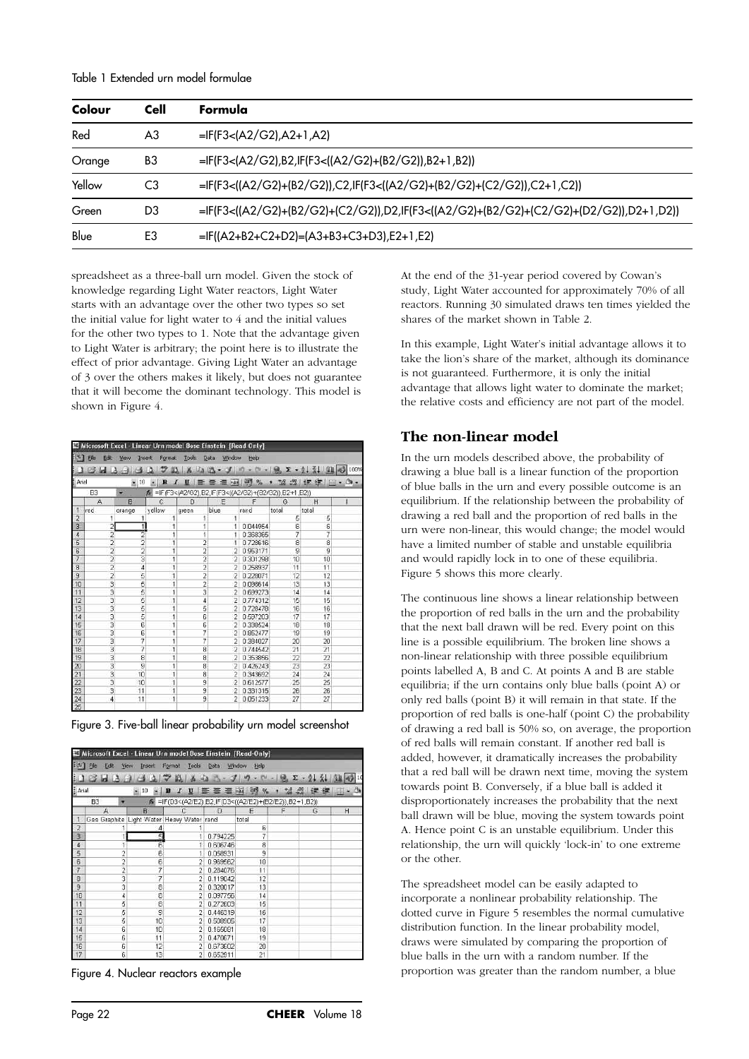Table 1 Extended urn model formulae

| Colour | Cell | Formula                                                                               |
|--------|------|---------------------------------------------------------------------------------------|
| Red    | A3   | $=$ IF(F3<(A2/G2),A2+1,A2)                                                            |
| Orange | B3   | =IF(F3<(A2/G2),B2,IF(F3<((A2/G2)+(B2/G2)),B2+1,B2))                                   |
| Yellow | C3   | =IF(F3<((A2/G2)+(B2/G2)),C2,IF(F3<((A2/G2)+(B2/G2)+(C2/G2)),C2+1,C2))                 |
| Green  | D3   | =IF(F3<((A2/G2)+(B2/G2)+(C2/G2)),D2,IF(F3<((A2/G2)+(B2/G2)+(C2/G2)+(D2/G2)),D2+1,D2)) |
| Blue   | E3   | =IF((A2+B2+C2+D2)=(A3+B3+C3+D3),E2+1,E2)                                              |

spreadsheet as a three-ball urn model. Given the stock of knowledge regarding Light Water reactors, Light Water starts with an advantage over the other two types so set the initial value for light water to 4 and the initial values for the other two types to 1. Note that the advantage given to Light Water is arbitrary; the point here is to illustrate the effect of prior advantage. Giving Light Water an advantage of 3 over the others makes it likely, but does not guarantee that it will become the dominant technology. This model is shown in Figure 4.

|                 |                           |                  |                | Microsoft Excel - Linear Urn model Bose Einstein [Read-Only] |                     |                     |                |                             |                   |
|-----------------|---------------------------|------------------|----------------|--------------------------------------------------------------|---------------------|---------------------|----------------|-----------------------------|-------------------|
| 围               | Ele<br>Edt                | Insert<br>Wew    | Format         |                                                              | Tools: Data: Window | telp                |                |                             |                   |
|                 | ы<br>IА<br>œ,             | r-1<br>$-1$      | 42<br>ю        | X.<br>Ba                                                     | $2 - 1$             | <b>CH</b><br>$\sim$ | $-9.2 - 2.3$   |                             | <b>HI 45 100%</b> |
|                 |                           |                  |                |                                                              |                     |                     |                |                             |                   |
| Arial           |                           | $\frac{1}{2}$ 10 | B<br>$\cdot$ 1 | U<br>旧事                                                      | 三重国 明光              |                     |                | , 13. 3 课 年 <b>HI - 3</b> - |                   |
|                 | <b>B3</b>                 | ٠                |                | 术 =IF(F3<(A2/G2),B2,IF(F3<((A2/G2)+(B2/G2)),B2+1,B2))        |                     |                     |                |                             |                   |
|                 | A                         | B                | $\mathbb{C}$   | D                                                            | E                   | F                   | G              | H                           |                   |
| ٦               | red                       | orance           | vellow         | green                                                        | blue                | rand                | total          | total                       |                   |
| $\overline{2}$  |                           | 1                | 1              | 1                                                            | 1                   |                     | 5              | 5                           |                   |
| 3               | $\overline{a}$            | $\overline{1}$   | 1              | 1                                                            | 1                   | 0.044954            | 6              | 6                           |                   |
| 4               | 2                         | 2                | 1              | ī                                                            | 1                   | 0.368365            | 7              | 7                           |                   |
| $\overline{5}$  | $\frac{2}{2}$             | $\frac{2}{2}$    | ï              | $\frac{2}{2}$                                                | s                   | 0.728616            | $\overline{8}$ | ä                           |                   |
| $\overline{6}$  |                           |                  | ï              |                                                              | $\overline{2}$      | 0.953171            | 9              | $\overline{a}$              |                   |
| $\overline{7}$  |                           | 3                | 1              | $\frac{2}{2}$                                                | 2                   | 0.301298            | 10             | 10                          |                   |
| $\overline{8}$  |                           | $\overline{4}$   | ï              |                                                              | $\overline{2}$      | 0.258937            | 11             | 11                          |                   |
| $\overline{9}$  | $\frac{2}{2}$             | 5                | ï              | 2                                                            | $\overline{2}$      | 0.228071            | 12             | 12                          |                   |
| 10              | 3                         | 5                | 1              |                                                              | 2                   | 0.098614            | 13             | 13                          |                   |
| 11              | 3                         | $\overline{5}$   | ī              | $\frac{2}{3}$                                                | $\overline{2}$      | 0.699273            | 14             | 14                          |                   |
| 12              | 3                         | 5                | 1              | $\overline{4}$                                               | $\overline{2}$      | 0.774312            | 15             | 15                          |                   |
| 13              | 3                         | 5                | ï              | $\overline{5}$                                               | $\overline{2}$      | 0.728478            | 16             | 16                          |                   |
| 14              |                           |                  | 1              | 6                                                            | $\overline{2}$      | 0.597203            | 17             | 17                          |                   |
| 15              | ن سا                      | $\frac{5}{6}$    | ï              | Ë,                                                           | 2                   | 0.338524            | 18             | 18                          |                   |
| 18              | 3                         | Б                | 1              | 7                                                            | 2                   | 0.852477            | 19             | 19                          |                   |
| 17              | 3                         | 7                | 1              | 7                                                            | $\overline{2}$      | 0.384027            | 20             | 20                          |                   |
| 18              | 3                         | 7                | 1              | B                                                            | $\overline{2}$      | 0.744542            | 21             | 21                          |                   |
| 19              | 3                         | 8                | ï              | 8                                                            | $\overline{2}$      | 0.353856            | 22             | 22                          |                   |
| 20              | 3                         | $\overline{g}$   | 1              | ø                                                            | $\overline{2}$      | 0.426243            | 23             | 23                          |                   |
| $\overline{21}$ | $\overline{\overline{3}}$ | 10               | 1              | 8                                                            | $\overline{2}$      | 0.343692            | 24             | 24                          |                   |
| 22              | 3                         | 10               | 1              | g                                                            | $\overline{2}$      | 0.612577            | 25             | 25                          |                   |
| 23              | 3                         | 11               | 1              | 9                                                            | 2                   | 0.331315            | 26             | 26                          |                   |
| 24              | $\overline{4}$            | 11               | 1              | $\overline{9}$                                               | $\overline{2}$      | 0.051233            | 27             | 27                          |                   |
| $\overline{25}$ |                           |                  |                |                                                              |                     |                     |                |                             |                   |

Figure 3. Five-ball linear probability urn model screenshot

| அ                   | Microsoft Excel - Linear Urn model Bose Einstein [Read-Only]<br>干脑<br>Edit | View<br><b>Insert</b> | Tools<br>Format                                       | Data           | Window<br>Help      |            |           |                      |
|---------------------|----------------------------------------------------------------------------|-----------------------|-------------------------------------------------------|----------------|---------------------|------------|-----------|----------------------|
| $#$ Arial           | Ы                                                                          | $= 10$                | 畝<br>B<br>æ                                           | щa<br>1 三三三三 四 | ゴの<br>$\frac{9}{6}$ | $-9.2 - 2$ | $36 - 00$ | 公 興 の<br>10<br>ま ・ ひ |
|                     | B3                                                                         |                       | F(D3<(A2/E2), B2, IF(D3<((A2/E2)+(B2/E2)), B2+1, B2)) |                |                     |            |           |                      |
|                     | А                                                                          | B                     |                                                       | Đ              | E                   | F          | G         | Н                    |
|                     | Gas Graphite Light Water Heavy Water rand                                  |                       |                                                       |                | total               |            |           |                      |
| $\frac{2}{4}$       |                                                                            | 4                     |                                                       |                | 6                   |            |           |                      |
|                     |                                                                            | 5                     |                                                       | 0.794225       | 7                   |            |           |                      |
|                     |                                                                            | Б                     | 1                                                     | 0.606746       | 8                   |            |           |                      |
| $rac{5}{6}$         | $\overline{c}$                                                             | 6                     |                                                       | 0.058931       | 9                   |            |           |                      |
|                     | 2                                                                          | $\overline{6}$        | 2                                                     | 0.969562       | 10                  |            |           |                      |
| $\overline{7}$      | $\overline{2}$                                                             | 7                     | 2                                                     | 0.284076       | 11                  |            |           |                      |
| $\overline{\theta}$ | 3<br>3                                                                     | 7                     | 2                                                     | 0.119042       | 12                  |            |           |                      |
| 9                   |                                                                            | 8                     | 2                                                     | 0.320017       | 13                  |            |           |                      |
| 1D                  | 4                                                                          | $\frac{8}{8}$         | 2                                                     | 0.097756       | 14                  |            |           |                      |
| $\overline{11}$     | 5                                                                          |                       | 2                                                     | 0.272603       | 15                  |            |           |                      |
| 12                  | $\frac{5}{5}$                                                              | g                     | 2                                                     | 0.446319       | 16                  |            |           |                      |
| 13                  |                                                                            | 10                    | 2                                                     | 0.508905       | 17                  |            |           |                      |
| 14                  | $\overline{6}$                                                             | 10                    | Ű.                                                    | 0.165081       | 18                  |            |           |                      |
| 15                  | ŝ                                                                          | 11                    | o                                                     | 0.470671       | 19                  |            |           |                      |
| 16                  | Ġ                                                                          | 12                    | 2                                                     | 0.673602       | 20                  |            |           |                      |
| $\overline{17}$     | 6                                                                          | 13                    | $\overline{2}$                                        | 0.652911       | 21                  |            |           |                      |

Figure 4. Nuclear reactors example

At the end of the 31-year period covered by Cowan's study, Light Water accounted for approximately 70% of all reactors. Running 30 simulated draws ten times yielded the shares of the market shown in Table 2.

In this example, Light Water's initial advantage allows it to take the lion's share of the market, although its dominance is not guaranteed. Furthermore, it is only the initial advantage that allows light water to dominate the market; the relative costs and efficiency are not part of the model.

#### **The non-linear model**

In the urn models described above, the probability of drawing a blue ball is a linear function of the proportion of blue balls in the urn and every possible outcome is an equilibrium. If the relationship between the probability of drawing a red ball and the proportion of red balls in the urn were non-linear, this would change; the model would have a limited number of stable and unstable equilibria and would rapidly lock in to one of these equilibria. Figure 5 shows this more clearly.

The continuous line shows a linear relationship between the proportion of red balls in the urn and the probability that the next ball drawn will be red. Every point on this line is a possible equilibrium. The broken line shows a non-linear relationship with three possible equilibrium points labelled A, B and C. At points A and B are stable equilibria; if the urn contains only blue balls (point A) or only red balls (point B) it will remain in that state. If the proportion of red balls is one-half (point C) the probability of drawing a red ball is 50% so, on average, the proportion of red balls will remain constant. If another red ball is added, however, it dramatically increases the probability that a red ball will be drawn next time, moving the system towards point B. Conversely, if a blue ball is added it disproportionately increases the probability that the next ball drawn will be blue, moving the system towards point A. Hence point C is an unstable equilibrium. Under this relationship, the urn will quickly 'lock-in' to one extreme or the other.

The spreadsheet model can be easily adapted to incorporate a nonlinear probability relationship. The dotted curve in Figure 5 resembles the normal cumulative distribution function. In the linear probability model, draws were simulated by comparing the proportion of blue balls in the urn with a random number. If the proportion was greater than the random number, a blue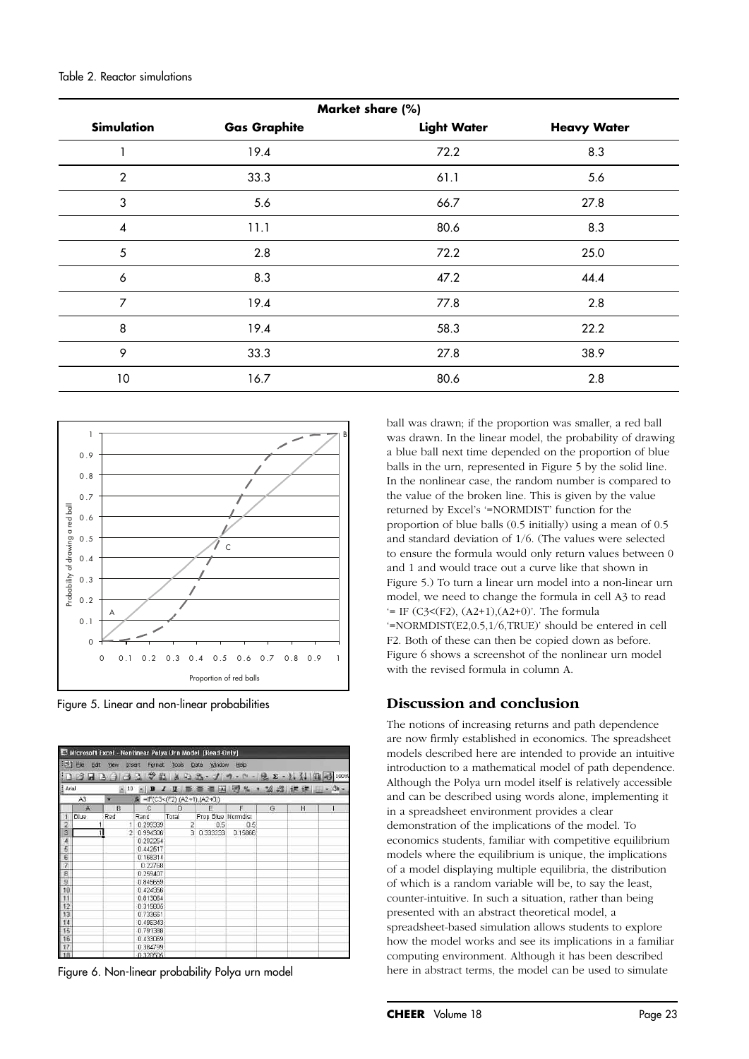| Market share (%)         |                     |                    |                    |  |  |  |  |
|--------------------------|---------------------|--------------------|--------------------|--|--|--|--|
| <b>Simulation</b>        | <b>Gas Graphite</b> | <b>Light Water</b> | <b>Heavy Water</b> |  |  |  |  |
|                          | 19.4                | 72.2               | 8.3                |  |  |  |  |
| $\mathbf{2}$             | 33.3                | 61.1               | 5.6                |  |  |  |  |
| 3                        | 5.6                 | 66.7               | 27.8               |  |  |  |  |
| $\overline{\mathcal{A}}$ | 11.1                | 80.6               | 8.3                |  |  |  |  |
| 5                        | 2.8                 | 72.2               | 25.0               |  |  |  |  |
| 6                        | 8.3                 | 47.2               | 44.4               |  |  |  |  |
| $\overline{7}$           | 19.4                | 77.8               | 2.8                |  |  |  |  |
| 8                        | 19.4                | 58.3               | 22.2               |  |  |  |  |
| 9                        | 33.3                | 27.8               | 38.9               |  |  |  |  |
| 10                       | 16.7                | 80.6               | 2.8                |  |  |  |  |



Figure 5. Linear and non-linear probabilities

|                 |                         | Microsoft Excel - Nonlinear Polya Urn Model [Read-Only] |                                                      |                |                    |                                              |   |   |  |
|-----------------|-------------------------|---------------------------------------------------------|------------------------------------------------------|----------------|--------------------|----------------------------------------------|---|---|--|
|                 | $\mathbb{H}$ He<br>Edit | <b>View</b>                                             | Insert                                               | Format Tools   | Window<br>Data     | Hap                                          |   |   |  |
|                 |                         | 13430                                                   | <b>A 2 31</b>                                        |                |                    | 美 2 出 · メ カ · ロ -   風 エ - 生 引   阻   回   100% |   |   |  |
| Arial           |                         |                                                         | $\bullet$ 10 $\bullet$ <b>B</b><br>$\mathcal I$      |                |                    | U 事善理图%, 2 2 读读 (II - 3) -                   |   |   |  |
|                 | A3                      | ٠                                                       | $\mathbf{k} = \mathbf{F}(C3 < (F2), (A2+1), (A2+0))$ |                |                    |                                              |   |   |  |
|                 | W                       | B                                                       | C                                                    | D              | Е                  | $F$ .                                        | G | Н |  |
| $\overline{1}$  | Blue                    | Red                                                     | Rand                                                 | Total          | Prop Blue Normdist |                                              |   |   |  |
| $\overline{2}$  |                         |                                                         | 1 0.299339                                           | $\overline{2}$ | 0.5                | 0.5                                          |   |   |  |
| 3               |                         |                                                         | 2 0 9 9 4 3 0 6                                      |                | 3 0.333333         | 0.15866                                      |   |   |  |
| 4               |                         |                                                         | 0.292254                                             |                |                    |                                              |   |   |  |
|                 |                         |                                                         | 0.442517                                             |                |                    |                                              |   |   |  |
| $\frac{5}{6}$   |                         |                                                         | 0 168314                                             |                |                    |                                              |   |   |  |
| $\overline{7}$  |                         |                                                         | 0.22768                                              |                |                    |                                              |   |   |  |
| 8               |                         |                                                         | 0.259407                                             |                |                    |                                              |   |   |  |
| $\overline{9}$  |                         |                                                         | 0.845659                                             |                |                    |                                              |   |   |  |
| 10              |                         |                                                         | 0.424356                                             |                |                    |                                              |   |   |  |
| 11              |                         |                                                         | 0.813064                                             |                |                    |                                              |   |   |  |
| $\frac{12}{13}$ |                         |                                                         | 0315805                                              |                |                    |                                              |   |   |  |
|                 |                         |                                                         | 0.733661                                             |                |                    |                                              |   |   |  |
|                 |                         |                                                         | 0.496343                                             |                |                    |                                              |   |   |  |
| $\frac{14}{15}$ |                         |                                                         | 0.791388                                             |                |                    |                                              |   |   |  |
|                 |                         |                                                         | 0.433069                                             |                |                    |                                              |   |   |  |
| $\frac{17}{18}$ |                         |                                                         | 0.384799                                             |                |                    |                                              |   |   |  |
|                 |                         |                                                         | 0.320505                                             |                |                    |                                              |   |   |  |

Figure 6. Non-linear probability Polya urn model

ball was drawn; if the proportion was smaller, a red ball was drawn. In the linear model, the probability of drawing a blue ball next time depended on the proportion of blue balls in the urn, represented in Figure 5 by the solid line. In the nonlinear case, the random number is compared to the value of the broken line. This is given by the value returned by Excel's '=NORMDIST' function for the proportion of blue balls (0.5 initially) using a mean of 0.5 and standard deviation of 1/6. (The values were selected to ensure the formula would only return values between 0 and 1 and would trace out a curve like that shown in Figure 5.) To turn a linear urn model into a non-linear urn model, we need to change the formula in cell A3 to read  $=$  IF (C3<(F2), (A2+1),(A2+0)'. The formula '=NORMDIST(E2,0.5,1/6,TRUE)' should be entered in cell F2. Both of these can then be copied down as before. Figure 6 shows a screenshot of the nonlinear urn model with the revised formula in column A.

#### **Discussion and conclusion**

The notions of increasing returns and path dependence are now firmly established in economics. The spreadsheet models described here are intended to provide an intuitive introduction to a mathematical model of path dependence. Although the Polya urn model itself is relatively accessible and can be described using words alone, implementing it in a spreadsheet environment provides a clear demonstration of the implications of the model. To economics students, familiar with competitive equilibrium models where the equilibrium is unique, the implications of a model displaying multiple equilibria, the distribution of which is a random variable will be, to say the least, counter-intuitive. In such a situation, rather than being presented with an abstract theoretical model, a spreadsheet-based simulation allows students to explore how the model works and see its implications in a familiar computing environment. Although it has been described here in abstract terms, the model can be used to simulate